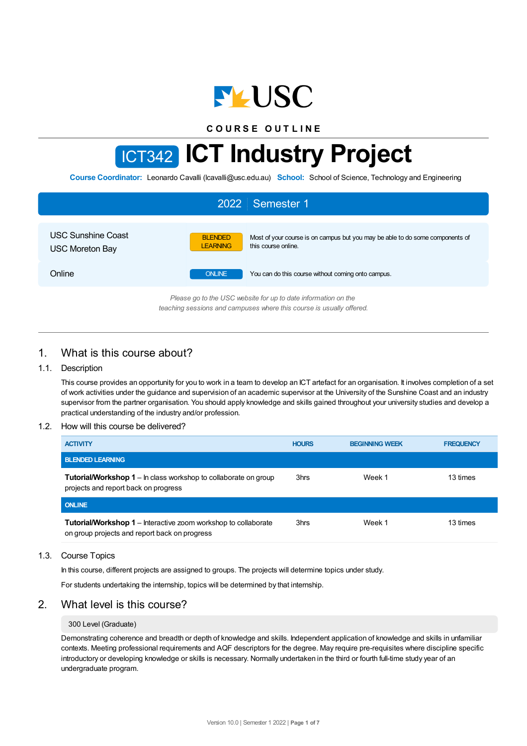

**C O U R S E O U T L I N E**

# ICT342 **ICT Industry Project**

**Course Coordinator:** Leonardo Cavalli (lcavalli@usc.edu.au) **School:** School of Science, Technology and Engineering

| 2022 Semester 1                                                 |                                   |                                                                                                      |  |  |
|-----------------------------------------------------------------|-----------------------------------|------------------------------------------------------------------------------------------------------|--|--|
| <b>USC Sunshine Coast</b><br><b>USC Moreton Bay</b>             | <b>BLENDED</b><br><b>LEARNING</b> | Most of your course is on campus but you may be able to do some components of<br>this course online. |  |  |
| Online                                                          | <b>ONLINE</b>                     | You can do this course without coming onto campus.                                                   |  |  |
| Please an to the LISC uphsite for up to date information on the |                                   |                                                                                                      |  |  |

*Please go to the USC website for up to date information on the teaching sessions and campuses where this course is usually offered.*

# 1. What is this course about?

## 1.1. Description

This course provides an opportunity for you to work in a team to develop an ICT artefact for an organisation. It involves completion of a set of work activities under the guidance and supervision of an academic supervisor at the University of the Sunshine Coast and an industry supervisor from the partner organisation. You should apply knowledge and skills gained throughout your university studies and develop a practical understanding of the industry and/or profession.

#### 1.2. How will this course be delivered?

| <b>ACTIVITY</b>                                                                                                        | <b>HOURS</b> | <b>BEGINNING WEEK</b> | <b>FREQUENCY</b> |
|------------------------------------------------------------------------------------------------------------------------|--------------|-----------------------|------------------|
| <b>BLENDED LEARNING</b>                                                                                                |              |                       |                  |
| <b>Tutorial/Workshop 1</b> – In class workshop to collaborate on group<br>projects and report back on progress         | 3hrs         | Week 1                | 13 times         |
| <b>ONLINE</b>                                                                                                          |              |                       |                  |
| <b>Tutorial/Workshop 1</b> – Interactive zoom workshop to collaborate<br>on group projects and report back on progress | 3hrs         | Week 1                | 13 times         |

#### 1.3. Course Topics

In this course, different projects are assigned to groups. The projects will determine topics under study.

For students undertaking the internship, topics will be determined by that internship.

## 2. What level is this course?

## 300 Level (Graduate)

Demonstrating coherence and breadth or depth of knowledge and skills. Independent application of knowledge and skills in unfamiliar contexts. Meeting professional requirements and AQF descriptors for the degree. May require pre-requisites where discipline specific introductory or developing knowledge or skills is necessary. Normally undertaken in the third or fourth full-time study year of an undergraduate program.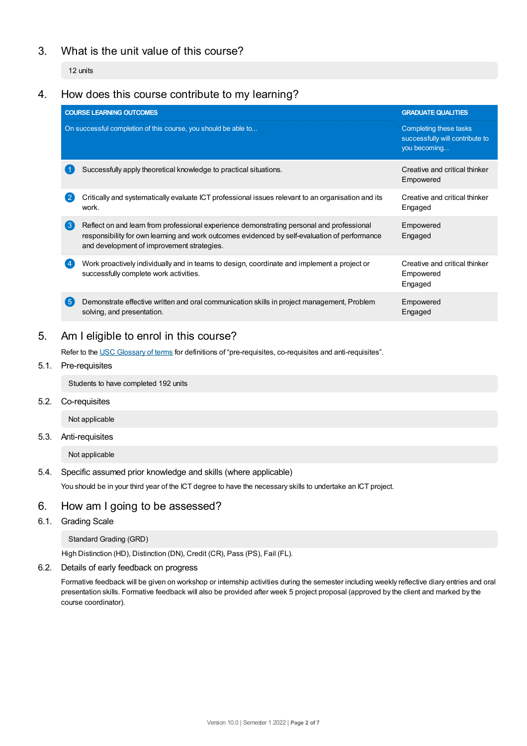# 3. What is the unit value of this course?

12 units

## 4. How does this course contribute to my learning?

|                  | <b>COURSE LEARNING OUTCOMES</b>                                                                                                                                                                                                          | <b>GRADUATE QUALITIES</b>                                                 |
|------------------|------------------------------------------------------------------------------------------------------------------------------------------------------------------------------------------------------------------------------------------|---------------------------------------------------------------------------|
|                  | On successful completion of this course, you should be able to                                                                                                                                                                           | Completing these tasks<br>successfully will contribute to<br>you becoming |
|                  | Successfully apply theoretical knowledge to practical situations.                                                                                                                                                                        | Creative and critical thinker<br>Empowered                                |
| $\overline{2}$   | Critically and systematically evaluate ICT professional issues relevant to an organisation and its<br>work.                                                                                                                              | Creative and critical thinker<br>Engaged                                  |
| $\left(3\right)$ | Reflect on and learn from professional experience demonstrating personal and professional<br>responsibility for own learning and work outcomes evidenced by self-evaluation of performance<br>and development of improvement strategies. | Empowered<br>Engaged                                                      |
|                  | Work proactively individually and in teams to design, coordinate and implement a project or<br>successfully complete work activities.                                                                                                    | Creative and critical thinker<br>Empowered<br>Engaged                     |
| (5)              | Demonstrate effective written and oral communication skills in project management, Problem<br>solving, and presentation.                                                                                                                 | Empowered<br>Engaged                                                      |

# 5. Am Ieligible to enrol in this course?

Refer to the USC [Glossary](https://www.usc.edu.au/about/policies-and-procedures/glossary-of-terms-for-policy-and-procedures) of terms for definitions of "pre-requisites, co-requisites and anti-requisites".

5.1. Pre-requisites

Students to have completed 192 units

5.2. Co-requisites

Not applicable

5.3. Anti-requisites

Not applicable

## 5.4. Specific assumed prior knowledge and skills (where applicable)

You should be in your third year of the ICT degree to have the necessary skills to undertake an ICT project.

## 6. How am Igoing to be assessed?

6.1. Grading Scale

Standard Grading (GRD)

High Distinction (HD), Distinction (DN), Credit (CR), Pass (PS), Fail (FL).

6.2. Details of early feedback on progress

Formative feedback will be given on workshop or internship activities during the semester including weekly reflective diary entries and oral presentation skills. Formative feedback will also be provided after week 5 project proposal (approved by the client and marked by the course coordinator).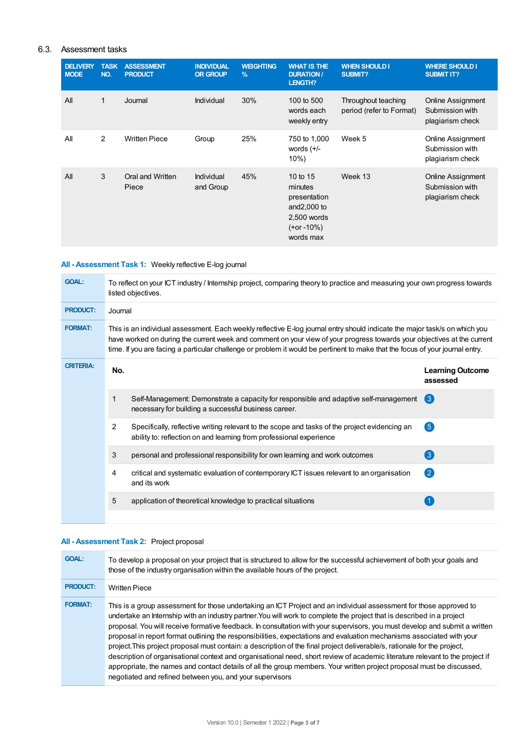## 6.3. Assessment tasks

| <b>DELIVERY</b><br><b>MODE</b> | <b>TASK</b><br>NO. | <b>ASSESSMENT</b><br><b>PRODUCT</b> | <b>INDIVIDUAL</b><br><b>OR GROUP</b> | <b>WEIGHTING</b><br>$\frac{9}{6}$ | <b>WHAT IS THE</b><br><b>DURATION /</b><br>LENGTH?                                                  | <b>WHEN SHOULD I</b><br><b>SUBMIT?</b>          | <b>WHERE SHOULD I</b><br><b>SUBMIT IT?</b>               |
|--------------------------------|--------------------|-------------------------------------|--------------------------------------|-----------------------------------|-----------------------------------------------------------------------------------------------------|-------------------------------------------------|----------------------------------------------------------|
| All                            | 1                  | Journal                             | Individual                           | 30%                               | 100 to 500<br>words each<br>weekly entry                                                            | Throughout teaching<br>period (refer to Format) | Online Assignment<br>Submission with<br>plagiarism check |
| All                            | 2                  | <b>Written Piece</b>                | Group                                | 25%                               | 750 to 1,000<br>words $(+/-)$<br>10%                                                                | Week 5                                          | Online Assignment<br>Submission with<br>plagiarism check |
| All                            | 3                  | Oral and Written<br>Piece           | Individual<br>and Group              | 45%                               | 10 to $15$<br>minutes<br>presentation<br>and $2,000$ to<br>2,500 words<br>$(+or -10%)$<br>words max | Week 13                                         | Online Assignment<br>Submission with<br>plagiarism check |

## **All - Assessment Task 1:** Weekly reflective E-log journal

| <b>GOAL:</b>     | To reflect on your ICT industry / Internship project, comparing theory to practice and measuring your own progress towards<br>listed objectives.                                                                                                                                                                                                                                       |                                                                                                                                                                      |                                     |  |  |
|------------------|----------------------------------------------------------------------------------------------------------------------------------------------------------------------------------------------------------------------------------------------------------------------------------------------------------------------------------------------------------------------------------------|----------------------------------------------------------------------------------------------------------------------------------------------------------------------|-------------------------------------|--|--|
| <b>PRODUCT:</b>  |                                                                                                                                                                                                                                                                                                                                                                                        | Journal                                                                                                                                                              |                                     |  |  |
| <b>FORMAT:</b>   | This is an individual assessment. Each weekly reflective E-log journal entry should indicate the major task/s on which you<br>have worked on during the current week and comment on your view of your progress towards your objectives at the current<br>time. If you are facing a particular challenge or problem it would be pertinent to make that the focus of your journal entry. |                                                                                                                                                                      |                                     |  |  |
| <b>CRITERIA:</b> | No.                                                                                                                                                                                                                                                                                                                                                                                    |                                                                                                                                                                      | <b>Learning Outcome</b><br>assessed |  |  |
|                  | 1                                                                                                                                                                                                                                                                                                                                                                                      | Self-Management: Demonstrate a capacity for responsible and adaptive self-management<br>necessary for building a successful business career.                         | $\left( 3\right)$                   |  |  |
|                  | 2                                                                                                                                                                                                                                                                                                                                                                                      | Specifically, reflective writing relevant to the scope and tasks of the project evidencing an<br>ability to: reflection on and learning from professional experience | $\sqrt{5}$                          |  |  |
|                  | 3                                                                                                                                                                                                                                                                                                                                                                                      | personal and professional responsibility for own learning and work outcomes                                                                                          | 3                                   |  |  |
|                  | 4                                                                                                                                                                                                                                                                                                                                                                                      | critical and systematic evaluation of contemporary ICT issues relevant to an organisation<br>and its work                                                            | 2                                   |  |  |
|                  | 5                                                                                                                                                                                                                                                                                                                                                                                      | application of theoretical knowledge to practical situations                                                                                                         |                                     |  |  |
|                  |                                                                                                                                                                                                                                                                                                                                                                                        |                                                                                                                                                                      |                                     |  |  |

## **All - Assessment Task 2:** Project proposal

| <b>GOAL:</b>    | To develop a proposal on your project that is structured to allow for the successful achievement of both your goals and<br>those of the industry organisation within the available hours of the project.                                                                                                                                                                                                                                                                                                                                                                                                                                                                                                                                                                                                                                                                                                                                                |
|-----------------|---------------------------------------------------------------------------------------------------------------------------------------------------------------------------------------------------------------------------------------------------------------------------------------------------------------------------------------------------------------------------------------------------------------------------------------------------------------------------------------------------------------------------------------------------------------------------------------------------------------------------------------------------------------------------------------------------------------------------------------------------------------------------------------------------------------------------------------------------------------------------------------------------------------------------------------------------------|
| <b>PRODUCT:</b> | <b>Written Piece</b>                                                                                                                                                                                                                                                                                                                                                                                                                                                                                                                                                                                                                                                                                                                                                                                                                                                                                                                                    |
| <b>FORMAT:</b>  | This is a group assessment for those undertaking an ICT Project and an individual assessment for those approved to<br>undertake an Internship with an industry partner. You will work to complete the project that is described in a project<br>proposal. You will receive formative feedback. In consultation with your supervisors, you must develop and submit a written<br>proposal in report format outlining the responsibilities, expectations and evaluation mechanisms associated with your<br>project. This project proposal must contain: a description of the final project deliverable/s, rationale for the project,<br>description of organisational context and organisational need, short review of academic literature relevant to the project if<br>appropriate, the names and contact details of all the group members. Your written project proposal must be discussed,<br>negotiated and refined between you, and your supervisors |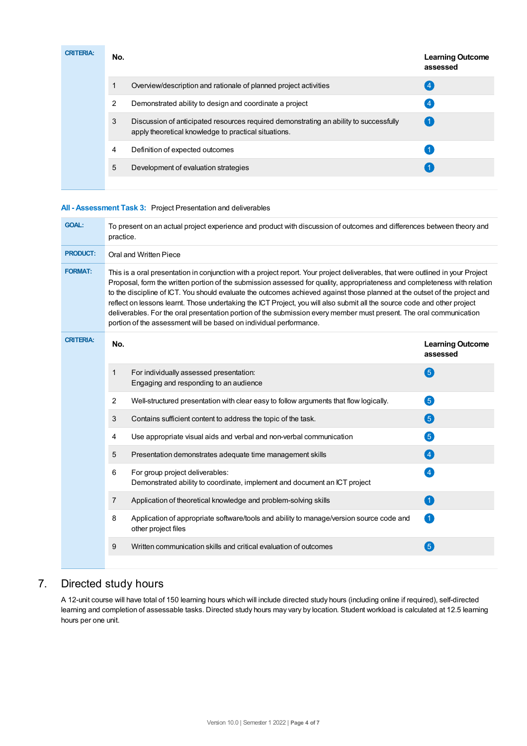| <b>CRITERIA:</b> | No. |                                                                                                                                               | <b>Learning Outcome</b><br>assessed |
|------------------|-----|-----------------------------------------------------------------------------------------------------------------------------------------------|-------------------------------------|
|                  | 1   | Overview/description and rationale of planned project activities                                                                              | .4                                  |
|                  | 2   | Demonstrated ability to design and coordinate a project                                                                                       | $\overline{4}$                      |
|                  | 3   | Discussion of anticipated resources required demonstrating an ability to successfully<br>apply theoretical knowledge to practical situations. | -1                                  |
|                  | 4   | Definition of expected outcomes                                                                                                               |                                     |
|                  | 5   | Development of evaluation strategies                                                                                                          |                                     |
|                  |     |                                                                                                                                               |                                     |

# **All - Assessment Task 3:** Project Presentation and deliverables

| <b>GOAL:</b>     | To present on an actual project experience and product with discussion of outcomes and differences between theory and<br>practice.                                                                                                                                                                                                                                                                                                                                                                                                                                                                                                                                                                                  |                                                                                                                |                                     |  |
|------------------|---------------------------------------------------------------------------------------------------------------------------------------------------------------------------------------------------------------------------------------------------------------------------------------------------------------------------------------------------------------------------------------------------------------------------------------------------------------------------------------------------------------------------------------------------------------------------------------------------------------------------------------------------------------------------------------------------------------------|----------------------------------------------------------------------------------------------------------------|-------------------------------------|--|
| <b>PRODUCT:</b>  | Oral and Written Piece                                                                                                                                                                                                                                                                                                                                                                                                                                                                                                                                                                                                                                                                                              |                                                                                                                |                                     |  |
| <b>FORMAT:</b>   | This is a oral presentation in conjunction with a project report. Your project deliverables, that were outlined in your Project<br>Proposal, form the written portion of the submission assessed for quality, appropriateness and completeness with relation<br>to the discipline of ICT. You should evaluate the outcomes achieved against those planned at the outset of the project and<br>reflect on lessons learnt. Those undertaking the ICT Project, you will also submit all the source code and other project<br>deliverables. For the oral presentation portion of the submission every member must present. The oral communication<br>portion of the assessment will be based on individual performance. |                                                                                                                |                                     |  |
| <b>CRITERIA:</b> | No.                                                                                                                                                                                                                                                                                                                                                                                                                                                                                                                                                                                                                                                                                                                 |                                                                                                                | <b>Learning Outcome</b><br>assessed |  |
|                  | $\mathbf 1$                                                                                                                                                                                                                                                                                                                                                                                                                                                                                                                                                                                                                                                                                                         | For individually assessed presentation:<br>Engaging and responding to an audience                              | 6                                   |  |
|                  | 2                                                                                                                                                                                                                                                                                                                                                                                                                                                                                                                                                                                                                                                                                                                   | Well-structured presentation with clear easy to follow arguments that flow logically.                          | 6                                   |  |
|                  | 3                                                                                                                                                                                                                                                                                                                                                                                                                                                                                                                                                                                                                                                                                                                   | Contains sufficient content to address the topic of the task.                                                  | 6                                   |  |
|                  | 4                                                                                                                                                                                                                                                                                                                                                                                                                                                                                                                                                                                                                                                                                                                   | Use appropriate visual aids and verbal and non-verbal communication                                            | 6                                   |  |
|                  | 5                                                                                                                                                                                                                                                                                                                                                                                                                                                                                                                                                                                                                                                                                                                   | Presentation demonstrates adequate time management skills                                                      | $\overline{\mathbf{A}}$             |  |
|                  | 6                                                                                                                                                                                                                                                                                                                                                                                                                                                                                                                                                                                                                                                                                                                   | For group project deliverables:<br>Demonstrated ability to coordinate, implement and document an ICT project   | $\left( 4\right)$                   |  |
|                  | $\overline{7}$                                                                                                                                                                                                                                                                                                                                                                                                                                                                                                                                                                                                                                                                                                      | Application of theoretical knowledge and problem-solving skills                                                | $\left( 1\right)$                   |  |
|                  | 8                                                                                                                                                                                                                                                                                                                                                                                                                                                                                                                                                                                                                                                                                                                   | Application of appropriate software/tools and ability to manage/version source code and<br>other project files | 0                                   |  |
|                  | 9                                                                                                                                                                                                                                                                                                                                                                                                                                                                                                                                                                                                                                                                                                                   | Written communication skills and critical evaluation of outcomes                                               | $\left(5\right)$                    |  |
|                  |                                                                                                                                                                                                                                                                                                                                                                                                                                                                                                                                                                                                                                                                                                                     |                                                                                                                |                                     |  |

# 7. Directed study hours

A 12-unit course will have total of 150 learning hours which will include directed study hours (including online if required), self-directed learning and completion of assessable tasks. Directed study hours may vary by location. Student workload is calculated at 12.5 learning hours per one unit.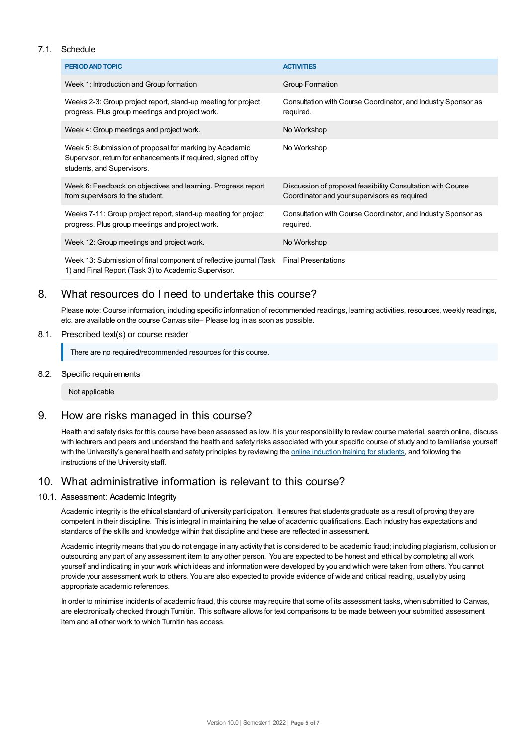## 7.1. Schedule

| <b>PERIOD AND TOPIC</b>                                                                                                                                | <b>ACTIVITIES</b>                                                                                           |
|--------------------------------------------------------------------------------------------------------------------------------------------------------|-------------------------------------------------------------------------------------------------------------|
| Week 1: Introduction and Group formation                                                                                                               | Group Formation                                                                                             |
| Weeks 2-3: Group project report, stand-up meeting for project<br>progress. Plus group meetings and project work.                                       | Consultation with Course Coordinator, and Industry Sponsor as<br>required.                                  |
| Week 4: Group meetings and project work.                                                                                                               | No Workshop                                                                                                 |
| Week 5: Submission of proposal for marking by Academic<br>Supervisor, return for enhancements if required, signed off by<br>students, and Supervisors. | No Workshop                                                                                                 |
| Week 6: Feedback on objectives and learning. Progress report<br>from supervisors to the student.                                                       | Discussion of proposal feasibility Consultation with Course<br>Coordinator and your supervisors as required |
| Weeks 7-11: Group project report, stand-up meeting for project<br>progress. Plus group meetings and project work.                                      | Consultation with Course Coordinator, and Industry Sponsor as<br>required.                                  |
| Week 12: Group meetings and project work.                                                                                                              | No Workshop                                                                                                 |
| Week 13: Submission of final component of reflective journal (Task<br>1) and Final Report (Task 3) to Academic Supervisor.                             | <b>Final Presentations</b>                                                                                  |

# 8. What resources do I need to undertake this course?

Please note: Course information, including specific information of recommended readings, learning activities, resources, weekly readings, etc. are available on the course Canvas site– Please log in as soon as possible.

## 8.1. Prescribed text(s) or course reader

There are no required/recommended resources for this course.

#### 8.2. Specific requirements

Not applicable

## 9. How are risks managed in this course?

Health and safety risks for this course have been assessed as low. It is your responsibility to review course material, search online, discuss with lecturers and peers and understand the health and safety risks associated with your specific course of study and to familiarise yourself with the University's general health and safety principles by reviewing the online [induction](https://online.usc.edu.au/webapps/blackboard/content/listContentEditable.jsp?content_id=_632657_1&course_id=_14432_1) training for students, and following the instructions of the University staff.

# 10. What administrative information is relevant to this course?

## 10.1. Assessment: Academic Integrity

Academic integrity is the ethical standard of university participation. It ensures that students graduate as a result of proving they are competent in their discipline. This is integral in maintaining the value of academic qualifications. Each industry has expectations and standards of the skills and knowledge within that discipline and these are reflected in assessment.

Academic integrity means that you do not engage in any activity that is considered to be academic fraud; including plagiarism, collusion or outsourcing any part of any assessment item to any other person. You are expected to be honest and ethical by completing all work yourself and indicating in your work which ideas and information were developed by you and which were taken from others. You cannot provide your assessment work to others. You are also expected to provide evidence of wide and critical reading, usually by using appropriate academic references.

In order to minimise incidents of academic fraud, this course may require that some of its assessment tasks, when submitted to Canvas, are electronically checked through Turnitin. This software allows for text comparisons to be made between your submitted assessment item and all other work to which Turnitin has access.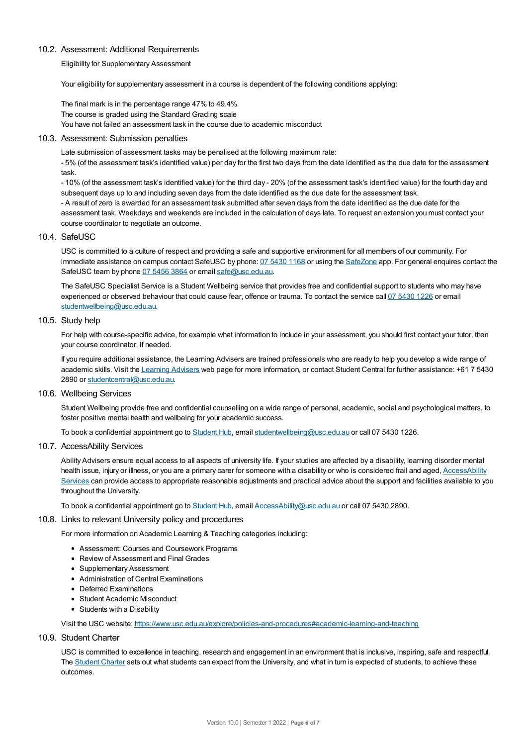#### 10.2. Assessment: Additional Requirements

Eligibility for Supplementary Assessment

Your eligibility for supplementary assessment in a course is dependent of the following conditions applying:

The final mark is in the percentage range 47% to 49.4% The course is graded using the Standard Grading scale You have not failed an assessment task in the course due to academic misconduct

#### 10.3. Assessment: Submission penalties

Late submission of assessment tasks may be penalised at the following maximum rate:

- 5% (of the assessment task's identified value) per day for the first two days from the date identified as the due date for the assessment task.

- 10% (of the assessment task's identified value) for the third day - 20% (of the assessment task's identified value) for the fourth day and subsequent days up to and including seven days from the date identified as the due date for the assessment task.

- A result of zero is awarded for an assessment task submitted after seven days from the date identified as the due date for the assessment task. Weekdays and weekends are included in the calculation of days late. To request an extension you must contact your course coordinator to negotiate an outcome.

#### 10.4. SafeUSC

USC is committed to a culture of respect and providing a safe and supportive environment for all members of our community. For immediate assistance on campus contact SafeUSC by phone: 07 [5430](tel:07%205430%201168) 1168 or using the [SafeZone](https://www.safezoneapp.com) app. For general enquires contact the SafeUSC team by phone 07 [5456](tel:07%205456%203864) 3864 or email [safe@usc.edu.au](mailto:safe@usc.edu.au).

The SafeUSC Specialist Service is a Student Wellbeing service that provides free and confidential support to students who may have experienced or observed behaviour that could cause fear, offence or trauma. To contact the service call 07 [5430](tel:07%205430%201226) 1226 or email [studentwellbeing@usc.edu.au](mailto:studentwellbeing@usc.edu.au).

#### 10.5. Study help

For help with course-specific advice, for example what information to include in your assessment, you should first contact your tutor, then your course coordinator, if needed.

If you require additional assistance, the Learning Advisers are trained professionals who are ready to help you develop a wide range of academic skills. Visit the Learning [Advisers](https://www.usc.edu.au/current-students/student-support/academic-and-study-support/learning-advisers) web page for more information, or contact Student Central for further assistance: +61 7 5430 2890 or [studentcentral@usc.edu.au](mailto:studentcentral@usc.edu.au).

## 10.6. Wellbeing Services

Student Wellbeing provide free and confidential counselling on a wide range of personal, academic, social and psychological matters, to foster positive mental health and wellbeing for your academic success.

To book a confidential appointment go to [Student](https://studenthub.usc.edu.au/) Hub, email [studentwellbeing@usc.edu.au](mailto:studentwellbeing@usc.edu.au) or call 07 5430 1226.

#### 10.7. AccessAbility Services

Ability Advisers ensure equal access to all aspects of university life. If your studies are affected by a disability, learning disorder mental health issue, injury or illness, or you are a primary carer for someone with a disability or who is considered frail and aged, [AccessAbility](https://www.usc.edu.au/learn/student-support/accessability-services/documentation-requirements) Services can provide access to appropriate reasonable adjustments and practical advice about the support and facilities available to you throughout the University.

To book a confidential appointment go to [Student](https://studenthub.usc.edu.au/) Hub, email [AccessAbility@usc.edu.au](mailto:AccessAbility@usc.edu.au) or call 07 5430 2890.

#### 10.8. Links to relevant University policy and procedures

For more information on Academic Learning & Teaching categories including:

- Assessment: Courses and Coursework Programs
- Review of Assessment and Final Grades
- Supplementary Assessment
- Administration of Central Examinations
- Deferred Examinations
- Student Academic Misconduct
- Students with a Disability

Visit the USC website: <https://www.usc.edu.au/explore/policies-and-procedures#academic-learning-and-teaching>

10.9. Student Charter

USC is committed to excellence in teaching, research and engagement in an environment that is inclusive, inspiring, safe and respectful. The [Student](https://www.usc.edu.au/current-students/student-charter) Charter sets out what students can expect from the University, and what in turn is expected of students, to achieve these outcomes.